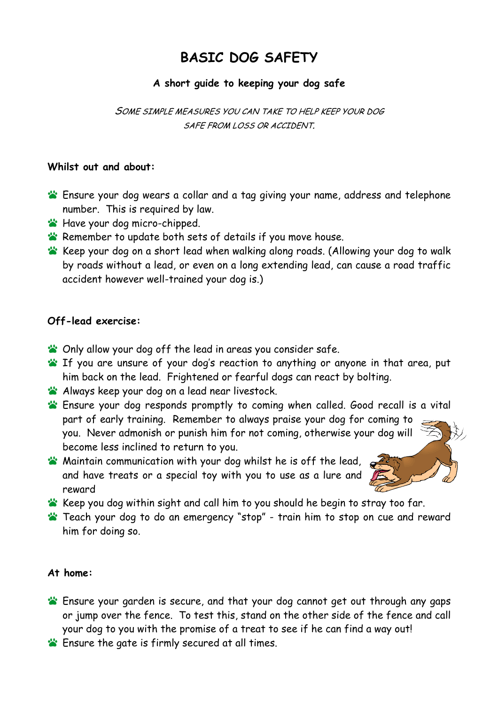# **BASIC DOG SAFETY**

# **A short guide to keeping your dog safe**

SOME SIMPLE MEASURES YOU CAN TAKE TO HELP KEEP YOUR DOG SAFE FROM LOSS OR ACCIDENT.

## **Whilst out and about:**

- Ensure your dog wears a collar and a tag giving your name, address and telephone number. This is required by law.
- **Have your dog micro-chipped.**
- **Remember to update both sets of details if you move house.**
- Keep your dog on a short lead when walking along roads. (Allowing your dog to walk by roads without a lead, or even on a long extending lead, can cause a road traffic accident however well-trained your dog is.)

## **Off-lead exercise:**

- **S** Only allow your dog off the lead in areas you consider safe.
- **If you are unsure of your dog's reaction to anything or anyone in that area, put** him back on the lead. Frightened or fearful dogs can react by bolting.
- **Always keep your dog on a lead near livestock.**
- part of early training. Remember to always praise your dog for coming to Ensure your dog responds promptly to coming when called. Good recall is a vital you. Never admonish or punish him for not coming, otherwise your dog will become less inclined to return to you.
- **W** Maintain communication with your dog whilst he is off the lead, and have treats or a special toy with you to use as a lure and reward
- 
- Keep you dog within sight and call him to you should he begin to stray too far.
- Teach your dog to do an emergency "stop" train him to stop on cue and reward him for doing so.

#### **At home:**

- Ensure your garden is secure, and that your dog cannot get out through any gaps or jump over the fence. To test this, stand on the other side of the fence and call your dog to you with the promise of a treat to see if he can find a way out!
- **Ensure the gate is firmly secured at all times.**